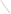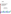# **Environmental Technology Verification Program**  Advanced Monitoring Systems Center

Test/QA Plan for Verification of Enzymatic Test Kits

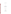# **TEST/QA PLAN**

**for** 

# **Verification of Enzymatic Test Kits**

**September 21, 2005** 

**Prepared by** 

**Battelle 505 King Avenue Columbus, OH 43201-2693**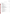Enzymatic Test Kits Test/QA Plan Page 2 of 44 Version 1 September 21, 2005

# **A2 TABLE OF CONTENTS**

# A PROJECT MANAGEMENT A1 Title Page ............................................................. 1 A2 Table of Contents ....................................................... 2 A3 Distribution List ........................................................ 5 A4 Verification Test Organization ............................................ 6 A5 Background .......................................................... 11 A6 Verification Test Description and Schedule . . . . . . . . . . . . . . . . . . . . . . . . . . . . . . . . . . 12 A7 Quality Objectives ..................................................... 14 A8 Special Training/Certification ............................................. 14 A9 Documentation and Records .............................................. 15 B MEASUREMENT AND DATA ACQUISITION B1 Experimental Design .................................................... 16 B2 Reference Sample Collection .............................................. 25 B3 Sample Handling and Custody Requirements ................................. 26 B4 Laboratory Reference Methods ............................................ 27 B5 Quality Control Audits and Requirements .................................... 29 B6 Instrument/Equipment Testing, Inspection, and Maintenance .................... 32 B7 Instrument/Equipment Calibration and Frequency ............................. 32 B8 Inspection/Acceptance of Supplies and Consumables ........................... 34 B9 Non-Direct Measurements ................................................ 34 B10 Data Management ...................................................... 34 C ASSESSMENT AND OVERSIGHT C1 Assessments and Response Actions ........................................ 37 C2 Reports to Management .................................................. 39 D DATA VALIDATION AND USABILITY D1 Data Review, Validation, and Verification Requirements ............................... 40 D2 Validation and Verification Methods ....................................... 40 D3 Reconciliation with User Requirements ..................................... 41 E HEALTH AND SAFETY E1 Standard/Test Sample Preparation .......................................... 42 E2 Sample Handling during Verification Testing ................................. 42 E3 Testing with VX, GB, and GD ............................................. 42 F REFERENCES ........................................................ 43

# Section Page

| l                              |  |
|--------------------------------|--|
|                                |  |
| I                              |  |
| I                              |  |
| ı                              |  |
| I<br>ı                         |  |
|                                |  |
| I                              |  |
| I                              |  |
| L<br>ı                         |  |
| נ<br>η                         |  |
|                                |  |
| l                              |  |
|                                |  |
|                                |  |
| l                              |  |
|                                |  |
| l                              |  |
| C                              |  |
|                                |  |
| C<br>J                         |  |
| $\overline{\mathfrak{l}}$<br>I |  |
|                                |  |
|                                |  |
| I                              |  |
|                                |  |
|                                |  |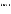| List of Figures | Page |
|-----------------|------|
| Figure 1        |      |
| List of Tables  |      |
| Table 1         |      |
| Table 2         |      |
| Table 3         |      |
| Table 4         |      |
| Table 5         |      |
| Table 6         |      |
| Table 7         |      |
| Table 8         |      |
| Table 9         |      |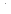# ETV Advanced Monitoring Systems Center

Test/QA Plan for Verification of Enzymatic Test Kits

Version 1

September 21, 2005

APPROVAL:

Name \_\_\_\_\_\_\_\_\_\_\_\_\_\_\_\_\_\_\_\_\_\_\_\_\_\_\_\_\_\_\_\_\_\_

Company \_\_\_\_\_\_\_\_\_\_\_\_\_\_\_\_\_\_\_\_\_\_\_\_\_\_\_\_\_\_\_

Date \_\_\_\_\_\_\_\_\_\_\_\_\_\_\_\_\_\_\_\_\_\_\_\_\_\_\_\_\_\_\_\_\_\_\_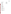Enzymatic Test Kits Test/QA Plan Page 5 of 44 Version 1 September 21, 2005

# **A3 DISTRIBUTION LIST**

James Blundi Severn Trent Services 3000 Advance Lane Colmar, PA 18915

Fernando Rubio Abraxis LLC 54 Steamwhistle Drive Warminster, PA 18974

Ken Hayes Aqua Survey, Inc. 469 Point Breeze Rd. Flemington, NJ 08822

Tristan Ruysschaert, Ph.D. Protein-BioSensor Incubateur Midi-Pyrenees 29, rue Jeanne Marvig France- 31400 Toulouse

Elizabeth A. Betz U.S. Environmental Protection Agency-**HEASD** National Exposure Research Laboratory E205-01 EPA Mailroom Research Triangle Park, NC 27711

Robert Fuerst U.S. Environmental Protection Agency-**HEASD** National Exposure Research Laboratory D205-05 EPA Mailroom Research Triangle Park, NC 27711

Karen Riggs Amy Dindal Stephanie Buehler Zachary Willenberg Chris Fricker Battelle 505 King Ave. Columbus, OH 43201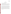# **SECTION A**

### **PROJECT MANAGEMENT**

# **A4 VERIFICATION TEST ORGANIZATION**

The verification test will be conducted under the auspices of the U.S. Environmental Protection Agency (EPA) through the Environmental Technology Verification (ETV) Program. It will be performed by Battelle, which is managing the ETV Advanced Monitoring Systems (AMS) Center through a cooperative agreement with EPA. The scope of the AMS Center covers verification of monitoring technologies for contaminants and natural species in air, water, and soil.

The day to day operations of this verification test will be coordinated and supervised by Battelle personnel, with the participation of the vendors who will be having the performance of their enzymatic test kits verified. The testing will be conducted at Battelle in Columbus and West Jefferson, Ohio. Battelle staff will operate the test kits during the verification test. Each vendor will provide sufficient supplies to allow for completion of the test (as described in this document) and training to Battelle staff on the use of the enzymatic test kit. Quality assurance (QA) oversight will be provided by the Battelle Quality Manager and the EPA AMS Center Quality Manager at his/her discretion. The organization chart in Figure 1 identifies the responsibilities of the organizations and individuals associated with the verification test. Roles and responsibilities are defined further below.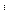Enzymatic Test Kits Test/QA Plan Page 7 of 44 Version 1 September 21, 2005



**Figure 1. Organization Chart**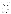# **A4.1 Battelle**

Dr. Stephanie Buehler is the AMS Center's Verification Test Coordinator for this test. In this role, Dr. Buehler will have overall responsibility for ensuring that the technical, schedule, and cost goals established for the verification test are met. Specifically, Dr. Buehler will:

- C Assemble a team of qualified technical staff to conduct the verification test.
- C Direct the team in performing the verification test in accordance with the test/QA plan.
- C Ensure that all quality procedures specified in the test/QA plan and in the AMS Center Quality Management  $Plan<sup>1</sup> (QMP)$  are followed.
- C Prepare the draft and final test/QA plan, verification reports, and verification statements.
- C Revise the draft test/QA plan, verification reports, and verification statements in response to reviewers' comments.
- C Respond to any issues raised in assessment reports and audits, including instituting corrective action as necessary.
- C Serve as the primary point of contact for vendor representatives.
- C Coordinate distribution of the final test/QA plan, verification reports, and verification statements.
- C Establish a budget for the verification test and manage staff to ensure the budget is not exceeded.
- C Ensure that confidentiality of sensitive vendor information is maintained.

Ms. Amy Dindal is a Verification Testing Leader for the AMS Center. Ms. Dindal will provide technical guidance and oversee the various stages of verification testing. She will

- C Support Dr. Buehler in preparing the test/QA plan and organizing the testing.
- C Review the draft and final test/QA plan.
- C Review the draft and final verification reports and verification statements.
- C Support Dr. Buehler in responding to any issues raised in assessment reports and audits.

Ms. Karen Riggs is Battelle's manager for the AMS Center. Ms. Riggs will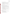- C Review the draft and final test/QA plan.
- C Review the draft and final verification reports and verification statements.
- C Ensure that necessary Battelle resources, including staff and facilities, are committed to the verification test.
- C Ensure that confidentiality of sensitive vendor information is maintained.
- C Maintain communication with EPA's project and quality managers.
- C Facilitate a stop work order if Battelle or EPA QA staff discovers adverse findings that will compromise test results.

Battelle Technical Staff will conduct the testing of the enzymatic test kits during the verification test. The responsibilities of the technical staff will be to:

- C Assist in the collection, receipt, and storage of drinking water samples.
- C Maintain and operate the test kits after proper training is provided by the vendor.
- C Perform the verification testing as described in the test/QA plan, including the preparation of all test samples.
- C Make qualitative observations about the operation of the enzymatic test kits.
- C Record the results for each enzymatic test kit and transmit them to the Verification Test Coordinator on a daily basis.
- C Perform reference method measurements indicated in this test/QA plan.
- C Troubleshoot any problems with the enzymatic test kits and communicate them to the Verification Test Coordinator immediately.

# Mr. Zachary Willenberg is Battelle's Quality Manager for the AMS Center. Mr.

Willenberg will:

- C Review the draft and final test/QA plan.
- C Conduct a technical systems audit at least once during the verification test, or designate other QA staff to conduct the audit.
- C Audit at least 10% of the verification data.
- C Prepare and distribute an assessment report for each audit.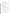- C Verify implementation of any necessary corrective action.
- C Notify Battelle's AMS Center Manager to issue a stop work order if self audits indicate that data quality is being compromised.
- C Provide a summary of the QA/QC activities and results for the verification reports.
- C Review the draft and final verification reports and verification statements.
- C Assume overall responsibility for ensuring that the test/QA plan is followed.

# **A4.2 Vendors**

The responsibilities of the vendor representatives are as follows:

- C Review the draft test/QA plan.
- C Approve the test/QA plan prior to test initiation.
- C Provide enough off-the-shelf enzymatic test kits for evaluation of all test samples during the verification test.
- C Provide all other equipment/supplies/reagents/consumables needed to operate their test kits for the duration of the verification test.
- C Provide training to Battelle staff in the operation of their enzymatic test kit.
- C Provide written instructions for operation of enzymatic test kits.
- Review and provide comments on the draft verification report and statement.

# **A4.3 EPA**

EPA's responsibilities in the AMS Center are based on the requirements stated in the "Environmental Technology Verification Program Quality Management Plan" (EPA QMP)<sup>2</sup>. The roles of the specific EPA staff are as follows:

Ms. Elizabeth Betz is EPA's AMS Center Quality Manager. For the verification test, Ms. Betz will:

- C Review the draft test/QA plan.
- C Perform at her option one external technical system audit during the verification test.
- C Notify the EPA AMS Center Manager of the need for a stop work order if external audit indicates that data quality is being compromised.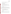- C Prepare and distribute an assessment report summarizing results of external audit.
- C Review draft verification reports and statements.

Mr. Robert Fuerst is EPA's manager for the AMS Center. Mr. Fuerst will:

- C Review the draft test/QA plan.
- C Approve the final test/QA plan.
- C Review the draft verification reports and statements.
- C Oversee the EPA review process for the verification reports and statements.
- C Coordinate the submission of verification reports and statements for final EPA approval.
- C Contact the AMS Center Manager to issue a stop work order if an EPA assessment indicates that data quality is being compromised.

# **A4.4 Subcontract Laboratory**

Any laboratory providing reference measurements will follow the requirements of the reference methods as well as the QC requirements as stated in this test/QA plan. A subcontract laboratory will provide reference measurements for the drinking water characterization as well as confirmation of the interferent solution concentrations. The responsibilities of this laboratory will include:

- C Proper receipt and handling of sample material.
- C Accurate measurement of the target analyte(s) or target parameter(s).
- C Submission of data and any supporting documents to Battelle.
- C Participation in audit by Battelle AMS Quality Manager or EPA AMS Quality Manager, if requested.

# **A5 BACKGROUND**

The ETV Program's AMS Center does third-party verification testing of commercially available technologies that detect natural species and contaminants in air, water, and soil. A stakeholder committee of buyers and users of such technologies recommend the technology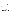categories and technologies within those categories as priorities for testing. Enzymatic test kits for detection of chemical agents were identified as a priority technology category through the AMS Center stakeholder process.

# **A6 VERIFICATION TEST DESCRIPTION AND SCHEDULE**

### **A6.1 Summary of Technology Category**

Enzymatic test kits are qualitative technologies that can detect the presence of chemical agents, carbamate pesticides, and/or organophosphate (OP) pesticides. These kits are generally designed to be handheld and portable. This verification test will assess the ability of the enzymatic test kits to detect these compounds in water.

Enzymatic test kits generally rely on the presence or absence of color or a color change to indicate that a chemical agent, carbamate pesticide, or OP pesticide has been detected. These test kits cannot determine the specific contaminant that is present, nor can they determine the amount of contaminant(s) present. However, some technologies can indicate the concentrations range of chemical agent, carbamate pesticide, or OP pesticide that is present (e.g., high, medium, or low) through a sliding color scale.

To detect chemical agents, carbamate pesticides, and OP pesticides, enzymatic test kits rely on the reaction of the cholinesterase enzyme. Under regular conditions, the enzyme reacts normally with other chemicals that might be present in the test kit. When a chemical agent, carbamate pesticide, or OP pesticide is present, the activity of the enzyme is inhibited by these compounds. The effects of this inhibition will then generally lead to a color change in the test kit, indicating the presence of a chemical agent, carbamate pesticide, or OP pesticide. For some kits, a color change may indicate the absence of the contaminant.

This verification test will assess the performance of each enzymatic test kit relative to key verification parameters including accuracy, precision, and false positive and negative rates in detecting selected chemical agents, carbamate pesticide and OP pesticide in American Society of Testing and Materials (ASTM) Type II deionized (DI) water, in the presence of possible interferents added to ASTM Type II DI water, and in drinking water obtained from a variety of geographically dispersed U.S. water utilities that use various water treatment processes.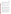Qualitative characteristics of each enzymatic test kit, such as ease of use, sample throughput, and cost, will also be assessed and reported. While most of the testing will occur in a laboratory, the enzymatic test kits that are designed for field use will be tested outside of the laboratory. In performing the verification test, Battelle will follow the technical and QA procedures specified in this test/QA plan and will comply with the quality requirements in the AMS Center QMP<sup>1</sup>.

# **A6.2 Verification Schedule**

The verification test of enzymatic test kits will begin in September 2005 and last through October 2005. At the close of testing, individual reports will be drafted for each technology, reviewed, and submitted to EPA for final signature. All reports will be submitted to EPA in electronic (Word and Adobe portable document format [pdf]) and hard copy formats.

#### **A6.3 Test Facility**

The verification test will take place at Battelle facilities in Columbus and West Jefferson, Ohio. A portion of the test (field portability) will also be conducted in a non-laboratory environment. Testing with chemical agents will take place at the Hazardous Materials Research Facility (HMRC). The HMRC, located in the North area of Battelle's West Jefferson Campus, is an ISO 9001 certified facility. The HMRC and its personnel have demonstrated the capability for storing and safely handling chemical agents, Class A poisons, toxins, agent simulants, and other hazardous materials.

The HMRC research laboratories meet or exceed all requirements for the safe use, storage, decontamination, and accountability of chemical agents as defined by Army Regulation 50-6 (Chemical Surety).3 Operations withing the laboratories always are conducted in accordance with Battelle's Chemical Safety Information Program.<sup>4</sup> Any non-disposable equipment that is part of a particular technology and that comes into contact with chemical agent(s) will not be able to be returned to the vendor because of restrictions on the release of such equipment.<sup>5</sup>

The pesticides to be evaluated in this test are not required to be used in a specially designed facility as are the chemical agents. Thus, testing of these chemicals will take place in qualified laboratories in the Battelle Columbus Operations facilities.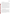# **A7 QUALITY OBJECTIVES**

This verification test will evaluate the performance of enzymatic test kits for the identification of chemical agents, carbamate pesticides, and OP pesticides in water. Only qualitative results (e.g., presence/absence of contaminant at specified levels) will be considered for each technology. In the instance where semi-quantitative (e.g., percent inhibition) measures are used in determining the results for a particular technology, a qualitative result will be reported (i.e., presence or absence of the contaminant of interest) as with the other technologies, and the semi-quantitative measure used to determine that result will also be reported for that sample but will not be used in any other data analyses as described in Section B1.2.

Method blank and positive and negative control samples will be included as QC samples for each technology. The quality of the reference measurements will be monitored using QC samples and procedures, as described in the testing laboratory's procedures or the method. These requirements are further discussed in Section B. Performance evaluation audit samples will also be used to confirm the accuracy of the reference solution concentrations (see Section C1.1).

The Battelle Quality Manager or his designee will perform a technical systems audit (TSA) at least once during this verification test and will audit at least 10% of the verification data acquired. The EPA AMS Center Quality Manager also may conduct an independent TSA, at her discretion.

# **A8 SPECIAL TRAINING/CERTIFICATION**

Battelle staff will have appropriate training and experience. Documentation of training is maintained for all Battelle technical staff in training files at their respective locations. Chemical warfare agent testing will be conducted by staff with the appropriate training that will be documented in their training record. Any use of respirators will be conducted by staff with the appropriate training. The Battelle Quality Manager will verify the presence of appropriate training records prior to the start of testing. The technology vendor will be required to train Battelle technical staff in the operation of his/her technology prior to the start of testing. Battelle will document this training with a consent form, signed by the vendor, that states which specific Battelle staff have been trained to use the enzymatic test kit.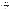# **A9 DOCUMENTATION AND RECORDS**

The records for this verification test include the test/QA plan, the protocols, chain of custody forms, laboratory record books (LRB), data collection forms, electronic files (both raw data and spreadsheets), and the final verification report and statement. All of these records will be maintained in the Verification Test Coordinator's office or at the testing locations during the test and will be transferred to permanent storage at Battelle's Records Management Office at the conclusion of the verification test. All Battelle LRBs are stored indefinitely, either by the Verification Test Coordinator or Battelle's Records Management Office. EPA will be notified before disposal of any files. The results from the reference measurements made by the Battelle or subcontractor laboratory will be submitted to Battelle after making the measurement and obtaining the results of the analyses. Section B10 further details the data recording practices and responsibilities. QA documents generated over the course of this verification test include audit and assessment reports and will be maintained by the Battelle Quality Manager.

All written records must be in ink. Any corrections to notebook entries, or changes in recorded data, must be made with a single line through the original entry. The correction is then to be entered, initialed, and dated by the person making the correction. In all cases, strict confidentiality of the raw data from each vendor's technology, and separation of data from different technologies, will be maintained throughout the verification test. Separate files (including manual records, printouts, and/or electronic data files) will be kept for each instrument.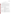# **SECTION B MEASUREMENT AND DATA ACQUISITION**

# **B1 EXPERIMENTAL DESIGN**

This verification test will specifically address verification of enzymatic test kits for the detection of GB, GD, and VX (chemical agents); aldicarb (carbamate pesticide); and dicrotophos (OP pesticide) in drinking water. The contaminants were selected based on the capabilities of the technologies being tested and the importance of these contaminants. The enzymatic test kits participating in this test will be evaluated on qualitative results (as noted in Section A7), indicating only the presence or absence of the contaminants within a specified concentration interval (see Section B1.1). The performance of the enzymatic test kits will be verified based on the parameters identified in Table 1. These parameters are discussed in detail in Section B1.2.

| <b>Performance</b>          | <b>Method of Evaluation</b>                                            |
|-----------------------------|------------------------------------------------------------------------|
| <b>Parameter</b>            |                                                                        |
| Accuracy                    | Frequency of positive responses in the presence of nominal             |
|                             | concentrations of each contaminant in ASTM Type II DI water            |
| Precision                   | Determined by repeatability of response from triplicate                |
|                             | measurements of each test sample                                       |
| False Positive/Negative     | Determined by response in the presence or absence of a contaminant     |
| Rates                       | in various matrices                                                    |
| Potential Matrix and        | Evaluation of performance in various matrices and in the presence of   |
| <b>Interference Effects</b> | potential interferents                                                 |
| Portability                 | Evaluation of operational factors obtained in a non-laboratory setting |
| <b>Operational Factors</b>  | Observational factors such as operator observations, ease of use, and  |
|                             | sample throughput                                                      |

| <b>Table 1. Verification Test Performance Parameters</b> |  |  |  |  |  |
|----------------------------------------------------------|--|--|--|--|--|
|----------------------------------------------------------|--|--|--|--|--|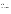#### **B1.1 Test Procedures**

The following sections describe the test procedures that will be used to evaluate each of the enzymatic test kit performance parameters listed in Table 1. Performance testing will be conducted on each kit separately, and will follow the operational procedures specified by the vendor, including analysis of quality control (QC) samples.

This verification test will determine the performance capabilities of enzymatic test kits to detect GB, GD, VX, aldicarb, and dicrotophos in three types of samples—performance test (PT), drinking water (DW), and QC. Each sample type is described in detail in the following sections. Contaminants will be tested individually on each technology. Stock solutions of each contaminant will be prepared in the ASTM Type II DI water or appropriate reagents from certified standards. Samples will then be prepared in the appropriate matrix using these stock solutions. Samples will be prepared and analyzed on the same day, with samples being prepared as close in time to their use with a test kit as possible. To minimize the loss of analytes to hydrolysis, contaminant stock solutions prepared in DI water will be made on a daily basis unless the stability of the analyte in water has been previously demonstrated. Aliquots of each stock solution will be diluted to the appropriate concentration using volumetric glassware and volumetric or calibrated pipettes. In some cases, reference solutions will be prepared in ASTM Type II DI water using the stock solutions to determine their concentration; otherwise, the concentration of the stock solutions will be confirmed. Reference methods for confirming solution concentrations are discussed in Section B4 (see Tables 4 and 5). All DW samples will be dechlorinated prior to their use to minimize the hydrolysis of the contaminants. The DW samples will also be characterized for typical water quality parameters (see Sections B1.1.2 and B4) prior to use.

# *B1.1.1 PT Samples*

PT sample types will be prepared in ASTM Type II DI water. The first type of PT sample will consist of ASTM Type II DI water spiked with a contaminant at five concentrations. Concentrations will include the lethal dose concentration given in Table 2 for each contaminant along with dilutions at approximately 10, 100, 1,000, and 10,000 times less than the lethal dose. The lethal dose of each contaminant was determined by calculating the concentration at which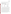250 mL of water is likely to cause the death of a 70-kg person based on human oral  $LD_{50}$  data.<sup>6,7</sup> Human oral  $LD_{50}$  data was not available for aldicarb, so rat oral  $LD_{50}$  data was used instead.<sup>8</sup> Each concentration level for the PT samples will be analyzed in triplicate.

| <b>Contaminant (common</b> | <b>Oral Lethal Dose</b>   | <b>Contaminant Class</b> |  |
|----------------------------|---------------------------|--------------------------|--|
| name)                      | <b>Concentration</b>      |                          |  |
| VX.                        | 2.1 milligrams (mg)/Liter | Chemical agent           |  |
|                            | (L)                       |                          |  |
| GB (sarin)                 | $20 \text{ mg/L}$         | Chemical agent           |  |
| GD (soman)                 | $1.4 \text{ mg/L}$        | Chemical agent           |  |
| Aldicarb                   | $260 \text{ mg/L}$        | Carbamate pesticide      |  |
|                            |                           | Organophosphate          |  |
| Dicrotophos                | $1400 \text{ mg/L}$       | pesticide                |  |

**Table 2. Lethal Dose of Target Contaminants** 

The second type of PT sample will be potential interferent samples. Three replicates of each interferent PT sample will be analyzed to determine each enzymatic test kit's susceptibility to these commonly found interferents in DW. There will be two types of interferent PT samples. One will contain calcium and magnesium from carbonates spiked into ASTM Type II DI water, and the other will contain humic and fulvic acids obtained from the International Humic Substances Society spiked into ASTM Type II DI water. Each of these interferent mixtures will be prepared at two different concentration levels. One concentration will be near the upper limit of what would be expected in drinking water (250 mg/L total concentration for calcium and magnesium, 5 mg/L total concentration for humic and fulvic acids) and one concentration at a mid-low range of what would be expected (50 mg/L total concentration for calcium and magnesium, 1 mg/L total concentration for humic and fulvic acids). These spiked interferent levels will be confirmed through analysis of aliquots by the subcontract laboratory. Also, each contaminant will be added to these samples along with the potential interferent, at a concentration consistent with a 10x dilution of the lethal dose, and analyzed in triplicate.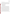### *B1.1.2 Drinking Water (DW) Samples*

Drinking water samples will be collected from four geographically distributed municipal sources (Ohio, New York, California, and Florida) to evaluate the performance of the enzymatic test kits with various DW matrices. These samples will vary in their source and treatment and disinfection process. All samples will have undergone either chlorination or chloramination disinfection prior to receipt. Samples will be collected from water utility systems with the following treatment and source characteristics:

- C Chlorinated filtered surface water source
- C Chlorinated unfiltered surface water source
- C Chlorinated filtered groundwater source
- C Chloraminated filtered surface water.

All samples will be collected in new, pre-cleaned high density polyethylene (HDPE) containers. After sample collection, to characterize the DW matrix, an aliquot of each DW sample will be sent to a subcontract laboratory to determine the following water quality parameters: concentration of trihalomethanes, haloacetic acids, total organic halides, calcium, magnesium, pH, conductivity, alkalinity, turbidity, organic carbon, and hardness. The DW samples will be dechlorinated prior to their use with sodium thiosulfate pentahydrate to prevent the degradation of some of the target contaminants by chlorine. Also, some test kits require dechlorination of DW prior to analysis. The dechlorination of the DW will be qualitatively confirmed by adding a diethyl-p-phenylene diamine (DPD) tablet to an aliquot of DW. If the water does not turn pink, the dechlorination process will be determined to be successful. If the water does turn pink, additional dechlorinating reagent will be added and the dechlorination confirmation procedure repeated. Each DW sample will be analyzed without adding any contaminant, as well as after fortification with each individual contaminant at a single concentration level (10x dilution of the lethal dose). Aliquots of each contaminant stock solution will be diluted with DW samples to the appropriate concentration. Each sample will be tested in triplicate.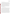# *B1.1.3 Quality Control (QC) Samples*

QC samples will include method blank (MB) samples consisting of ASTM Type II DI water, and positive and negative controls, if applicable and as provided by the vendor. All of the MB QC samples will be exposed to identical sample preparation and analysis procedures as the test samples. Positive and negative controls will be provided by the vendor or prepared and used according to the protocol provided by the vendor. The MB samples will be used to ensure that no sources of contamination are introduced in the sample handling and analysis procedures. At least 10% of the test samples (7 samples for each contaminant) will be MB samples. The vendor provided control samples will indicate to the operator whether the enzymatic test kit is functioning properly and will be added to each set of samples analyzed by the technology, as applicable, or added per batch of samples as indicated by the vendor. The test samples and MB samples will be analyzed blindly by the operator in that the samples used for analysis will be marked with a non-identifying number.

# *B1.1.4 Portability Samples and Operational Factors*

Those enzymatic test kits that are designed to be field portable will be tested outside of the laboratory by a non-technical operator. A non-technical operator is considered to be someone with little to no laboratory experience who would be representative of a first responder. The nontechnical operator will be trained in the use of the enzymatic test kit by the vendor or by another Battelle staff person who was trained by the vendor. Because many of the contaminants being tested are highly toxic and unsafe to be handled outside of a special facility, method blank samples and non-toxic positive and negative control samples will be analyzed as portability samples. The non-toxic positive and negative control samples will be provided by the vendor or prepared and used according to the vendor's protocol.. Because no samples spiked with the contaminants of interest will be used, only the operational aspects of each enzymatic test kit will be evaluated as part of the portability testing. As these technologies are anticipated to be used by first-responders, their performance in a non-laboratory setting will be evaluated under simulated first response conditions by having the operator dressed in a Level B protective suit, butyl gloves, boots, and either a self contained breathing apparatus (SCBA) or an air purifying respirator,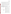depending on the availability of personnel trained in the operation of such devices. The operator will have prior experience in working in personal protective equipment (PPE). One set of MB samples will be tested without the use of PPE. Ease of use from the perspective of the operator will be documented both with and without the PPE.

Operational factors such as ease of use and sample throughput will be evaluated based on observations recorded by Battelle staff. Operational factors will be noted for both the laboratory and non-laboratory portions of the verification test. These observations will be summarized to describe the operational performance of each enzymatic test kit in the verification reports.

Table 3 provides a summary of all of the samples to be tested for each enzymatic test kit and each contaminate of interest.

| <b>Performance Test</b><br>(PT) Samples | <b>Performance Factor</b><br><b>Evaluated</b>                               | <b>Sample Description</b>                                                                                                          | <b>Reps</b> |
|-----------------------------------------|-----------------------------------------------------------------------------|------------------------------------------------------------------------------------------------------------------------------------|-------------|
| Contaminant Only                        | Accuracy, Precision,                                                        | Contaminant PT sample @ lethal dose                                                                                                | 3           |
|                                         | <b>False Negative</b>                                                       | Contaminant PT sample $@$ 10 times less than the<br>lethal dose                                                                    | 3           |
|                                         |                                                                             | Contaminant PT sample $@$ 100 times less than the<br>lethal dose                                                                   | 3           |
|                                         |                                                                             | Contaminant PT sample $@1,000$ times less than<br>the lethal dose                                                                  | 3           |
|                                         |                                                                             | Contaminant PT sample $@ 10,000$ times less than<br>the lethal dose                                                                | 3           |
| Interferent                             | Interference Effects,<br>Precision, False<br>Positive/Negative<br>Responses | Fulvic and humic acids $@$ a total concentration of<br>$1 \text{ mg/L}$                                                            | 3           |
|                                         |                                                                             | Fulvic and humic acids @ a total concentration of 1<br>$mg/L$ + contaminant @ 10 times less than the lethal<br>dose                | 3           |
|                                         |                                                                             | Fulvic and humic acids @ a total concentration of<br>$5 \text{ mg/L}$                                                              | 3           |
|                                         |                                                                             | Fulvic and humic acids @ a total concentration of<br>$5 \text{ mg/L} + \text{contaminant}$ @ 10 times less than the<br>lethal dose | 3           |
|                                         |                                                                             | Calcium and magnesium $@$ a total concentration of<br>$50 \text{ mg/L}$                                                            | 3           |

**Table 3. Summary of Test Samples for Enzymatic Test Kits Verification**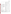|                                        |                                                                | Calcium and magnesium $@$ a total concentration of<br>50 mg/L + contaminant $@$ 10 times less than the<br>lethal dose | 3                  |
|----------------------------------------|----------------------------------------------------------------|-----------------------------------------------------------------------------------------------------------------------|--------------------|
|                                        |                                                                | Calcium and magnesium @ a total concentration of<br>$250$ mg/L                                                        | 3                  |
|                                        |                                                                | Calcium and magnesium @ a total concentration of<br>250 mg/L + contaminant $@$ 10 times less than the<br>lethal dose  | 3                  |
| <b>Portability Samples</b>             | <b>Performance Factor</b><br><b>Evaluated</b>                  | <b>Sample Description</b>                                                                                             | <b>Reps</b>        |
| <b>Method Blank</b>                    | Operational factors                                            | Analysis in PPE by non-technical operator                                                                             | 3                  |
| Samples                                |                                                                | Analysis not in PPE by non-technical operator                                                                         | 3                  |
| <b>Drinking Water</b><br>(DW) Samples  | <b>Performance Factor</b><br><b>Evaluated</b>                  | <b>Sample Description</b>                                                                                             | <b>Reps</b>        |
| Filtered chlorinated                   | Potential Matrix and                                           | Unspiked                                                                                                              | 3                  |
| surface water                          | Interference Effects,<br>Precision, False<br>Positive/Negative | Spiked with contaminant $@$ 10 times less than the<br>lethal dose                                                     | 3                  |
| Unfiltered                             | Responses                                                      | Unspiked                                                                                                              | 3                  |
| chlorinated surface<br>water           |                                                                | Spiked with contaminant $@$ 10 times less than the<br>lethal dose                                                     | 3                  |
| Filtered chlorinated                   |                                                                | Unspiked                                                                                                              | 3                  |
| groundwater                            |                                                                | Spiked with contaminant $@$ 10 times less than the<br>lethal dose                                                     | 3                  |
| Filtered                               |                                                                | Unspiked                                                                                                              | 3                  |
| chloraminated<br>surface water         |                                                                | Spiked with contaminant $@$ 10 times less than the<br>lethal dose                                                     | 3                  |
| <b>Quality Control</b><br>(QC) Samples | <b>Performance Factor</b><br><b>Evaluated</b>                  | <b>Sample Description</b>                                                                                             | <b>Reps</b>        |
| Method Blank                           | <b>Quality Check</b>                                           | DI water - 10% of all non-QC samples                                                                                  | $\tau$             |
| Positive Control                       |                                                                | Provided by vendor                                                                                                    | Var <sup>(a)</sup> |
| <b>Negative Control</b>                |                                                                | Provided by vendor                                                                                                    | Var <sup>(a)</sup> |
|                                        | Approximate total number of samples per contaminant            |                                                                                                                       | 76                 |

(a) Number of positive and negative controls will vary based on the protocol provided by the vendor.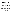#### **B1.2 Statistical Analysis**

The technologies participating in this verification test will only be evaluated for qualitative results (i.e., presence or absence of the contaminant of interest). All data analyses will be based on these qualitative results. The statistical methods and calculations used for evaluation of the qualitative performance parameters are described in the following sections. The performance parameters will be determined for each target analyte (see Table 2) individually.

When semi-quantitative measures (e.g., percent inhibition) are used in determining the presence or absence of a contaminant for a particular technology, the semi-quantitative measure will be used to determine a qualitative result for the enzymatic test kit (i.e., presence or absence of contaminant). A qualitative result will then be reported as with the other technologies and used for the data analyses described in the following sections. The semi-quantitative measure will also be reported for that sample but will not be used in any other data analyses.

# *B1.2.1 Accuracy*

The accuracy will be assessed by evaluating how often the enzymatic test kit result is positive in the presence of a concentration above the LOD. Contaminant-only PT samples will be used for this analysis. An overall percent agreement will be determined by dividing the number of positive responses to the overall number of analyses of contaminant-only PT samples above the kit's LOD (see Equation 1). If the LOD for a technology is not known or available, then all analyzed contaminant-only PT samples above the concentration level where consistent negative results are obtained will be used in estimating the accuracy for that enzymatic test kit.

$$
Accuracy (% Agreement) = \frac{\# of positive contaminant only PT samples}{total # of contaminant only PT samples} \times 100
$$
 (1)

#### *B1.2.2 False Positive/False Negative Rates*

A false positive response will be defined as an enzymatic test kit response indicating the presence of a contaminant when the ASTM Type II DI water (including interferent samples) or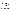drinking water sample is not spiked at all. A false positive rate will be reported as the number of false positive results out of the total number of unspiked samples (see Equation 2).

A false negative response will be defined as an enzymatic test kit response indicating the absence of a contaminant when the sample is spiked with a contaminant at a concentration greater than the enzymatic test kit's LOD. Spiked PT (contaminant and interferent) samples and spiked DW samples will be included in the analysis. Contaminant-only PT samples above the technology's LOD or the level at which consistent negative responses are obtained (when the LOD is not known) will be included in the analysis. A false negative rate will be evaluated as the number of false negative results out of the total number of spiked samples for a particular contaminant (see Equation 3).

False Positive Rate = 
$$
\frac{\# \ of \ positive \ results}{total \# \ of \ unspiked \ samples}
$$
 (2)

False Negative Rate = 
$$
\frac{\# \ of \ negative \ results}{\ total \# \ of \ spiked \ samples}
$$
 (3)

#### *B1.2.3 Precision*

Precision measures the repeatability and reproducibility of enzymatic test kit responses. The precision of the three replicates of each sample set will be assessed. Responses will be considered inconsistent if one or more of the three replicates differs from the response of the other samples in the replicate set. The overall precision for each enzymatic test kit will be assessed by calculating the overall number of consistent responses for all the sample sets. The results will be reported as the percentage of consistent responses out of all replicate sets (see Equation 4).

*Precision (% Consistent results)* =  $\frac{\text{\# of consistent responses of replicate sets}}{\text{total \# of replicate sets}} \times 100$  (4)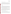### *B1.2.4 Potential Matrix and Interferent Effects*

The potential effect of the DW matrix on the enzymatic test kit performance will be evaluated qualitatively by comparing the results for the spiked and unspiked DW samples to those for the PT samples spiked with the contaminant at 100 times less than the lethal dose. Similarly, the potential effect of interferent PT samples will be evaluated. The results indicating the correct or incorrect reporting of the presence of a contaminant will be evaluated. The findings will be reported and discussed.

# **B1.3 Reporting**

The statistical comparisons described above will be conducted separately for each enzymatic test kit being tested, and information on the additional performance parameters such as ease of use and sample throughput will be compiled and reported. Separate verification reports will be prepared for each kit that was tested. No intercomparison of the enzymatic test kit data will be performed at any time. For each enzymatic test kit, the verification report will present the test procedures and test data, as well as the results of the statistical evaluation of those data.

All use of the test kits by Battelle staff, including all operational aspects observed during laboratory and field testing, will be documented at the time of the test and reported. The verification report will briefly describe the ETV program, the AMS Center, and the procedures used in verification testing. These sections will be common to each verification report. The results of the verification test will then be stated, without comparison to any other technology tested or comment on the acceptability of the technology's performance.

# **B2 REFERENCE SAMPLE PREPARATION AND ANALYSIS**

An aliquot of the stock or reference solution (that will be prepared from the stock solution) will be submitted for reference measurement (see Section B4 for reference methods). Reference or stock solutions for each contaminant (see Table 2) will be prepared separately. Interferent stock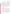preparation, extraction or preservation, and analysis will be noted. Reference or stock solutions solutions will contain multiple analytes in the same solution (calcium and magnesium or fulvic and humic acids together). The concentration of the contaminant and interfering compound stock solutions will be verified with standard analytical methods as described in Section B4. Up to four aliquots of each stock or reference solution will be analyzed over the course of the verification test. Aliquots to be analyzed by confirmatory methods will be preserved or extracted and stored as prescribed by the standard method to be used. Reference solutions for the pesticides and chemical agents will be prepared as close in time as possible to the test samples to minimize any differences in the rate of sample degradation. A reference sample for these compounds may also be submitted for reference measurement at the end of each day of testing to assess the stability of the analyte throughout the testing day. Reference solutions known or suspected to undergo hydrolysis will be preserved or extracted, according to the reference method, on the day of preparation. The time of (after extraction or preservation if prescribed in the reference method) will be stored according to the reference method or laboratory protocols.

# **B3 SAMPLE HANDLING AND CUSTODY REQUIREMENTS**

Sample custody will be documented throughout collection, shipping, and analysis of the samples from the water utilities to Battelle. Similar documentation will be recorded for shipping and analysis of samples to the subcontract laboratory. Sample chain-of-custody procedures will be in accordance with the Battelle SOP MDAS.I-009-Draft, Sample Chain of Custody.<sup>9</sup> The chain-ofcustody form summarizes the samples collected and analyses requested. The chain-of-custody form will track sample release from the DW utilities to the Battelle laboratory, and from the Battelle laboratory to the subcontract laboratory. Each chain-of-custody form will be signed by the person relinquishing samples once that person has verified that the chain-of-custody form is accurate. The original sample chain-of-custody forms accompany the samples; the shipper will keep a copy. Upon receipt at the sample destination, chain-of-custody forms will be signed by the person receiving the samples once that person has verified that all samples identified on the chain-of-custody forms are present in the shipping container. Any discrepancies will be noted on the form and the sample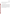receiver will immediately contact the Verification Test Coordinator to report missing, broken, or compromised samples. Reference samples shipped to the subcontract laboratory will be analyzed within the holding time identified in the applicable reference method.

# **B4 LABORATORY REFERENCE METHODS**

Table 4 provides the standard laboratory methods that will be used for the sample preparation and reference analyses during this verification test. Table 5 provides the reference methods that will be used for the analysis of the interferent solutions. Table 6 provides the methods that will be used for determining the physio-chemical characteristics of the drinking water matrices. Instrumentation used for each reference method is given in each table. All of the reference methods for the target analytes will be performed by Battelle. Reference methods for the physio-chemical characterization of the drinking water and the interferent solutions will be performed by a subcontract laboratory. In all cases, laboratories will follow the QC requirements specified in B5. A subcontract laboratory will be responsible for providing calibrated instrumentation, performing all method QA/QC, and providing calibration records for any instrumentation used.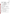| <b>Target Analyte</b> | <b>Reference Method</b>                         | <b>Instrumentation</b> <sup>a</sup> |
|-----------------------|-------------------------------------------------|-------------------------------------|
| VX                    | HMRC-IV-118-05 <sup>10</sup>                    | GC/MS                               |
| GB (sarin)            | HMRC-IV-118-05 <sup>10</sup>                    | GC/MS                               |
| GD (soman)            | HMRC-IV-118-05 <sup>10</sup>                    | GC/MS                               |
|                       | SOP for Analysis of Water Sample Extracts       |                                     |
| aldicarb              | For Type 1 Analytes by Liquid                   | LC/MS                               |
|                       | Chromatography/ Mass Spectrometry <sup>11</sup> |                                     |
|                       | SOP for Extracting and Preparing Water          |                                     |
| dicrotophos           | Samples For Analysis of Dicrotophos,            | GC/MS                               |
|                       | Mevinphos, And Dichlorovos <sup>12</sup>        |                                     |

# **Table 4. Reference Methods for Target Analytes**

<sup>a</sup> Gas chromatography (GC)/ mass spectrometry (MS)

Liquid chromatography (LC)/mass spectrometry (MS)

# **Table 5. Reference Methods for Interferents**

| Interferents              | <b>Reference Method</b> | <b>Instrumentation</b> <sup>a</sup> |
|---------------------------|-------------------------|-------------------------------------|
| Ca and Mg                 | EPA $200.8^{13}$        | Simultaneous ICP                    |
| Humic and Fulvic<br>Acids | SM 5310 <sup>14</sup>   | <b>Combustion infrared NDR</b>      |

a Inductively coupled plasma (ICP)

Negative differential resistance (NDR)

# **Table 6. Reference Methods for the Physio-Chemical Characterization of Drinking Water**

| <b>Parameter</b>         | Reference<br>Method       | <b>Instrumentation</b> <sup>a</sup>  |
|--------------------------|---------------------------|--------------------------------------|
| Turbidity                | SM 2130 <sup>14</sup>     | Turbidimeter                         |
| Organic carbon           | SM 5310 <sup>14</sup>     | <b>Combustion infrared NDR</b>       |
| Specific<br>conductivity | SM 2510 <sup>14</sup>     | Conductivity meter                   |
| Alkalinity               | SM 2320 <sup>14</sup>     | pH meter                             |
| pH                       | EPA 150.1 <sup>15</sup>   | pH meter                             |
| Hardness                 | EPA SM 2340 <sup>14</sup> | pH meter                             |
| Total organic<br>halides | SM 5320 <sup>14</sup>     | Microcoulometric combustion analyzer |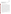| Trihalomethanes  | EPA 524.2 <sup>16</sup> | GC/MS  |
|------------------|-------------------------|--------|
| Haloacetic acids | EPA 552.2 <sup>16</sup> | GC/ECD |

<sup>a</sup> Negative differential resistance (NDR) Gas chromatography (GC)/ mass spectrometry (MS) Gas chromatography (GC)/ Electron capture detection (ECD)

# **B5 QUALITY CONTROL AUDITS AND REQUIREMENTS**

with each method is presented in Table 7. The QC measures for these reference methods will at Steps will be taken to maintain the quality of the data collected during this verification test. When confirmation analyses of the stock or reference solutions of both contaminant and potential interfering compounds are performed, QC measures as noted in each laboratory's operating procedures or the reference method will be followed. Similarly, appropriate QC measures as stated in the reference method or the laboratory's operating procedures will be followed for the physiochemical characterization of the DW. The reference methods to be followed for this verification test are listed in Tables 4 through 6. A summary of the QC samples and acceptance criteria associated least include the analysis of a method blank sample with the analyses of the reference or stock solution. Method blank samples will be analyzed to ensure that no sources of contamination are present. If the analysis of a method blank sample indicates a concentration above the MDL for the confirmatory instrument, contamination will be suspected. Any contamination source(s) will be corrected, and proper blank readings will be achieved, before proceeding with the analyses. In general, a matrix spike or laboratory fortified spike sample will also be analyzed. Average acceptable recoveries for these samples are between 70-150%. Samples outside of the expected range will generally be flagged and rerun once the QC acceptance criteria have been met. QC samples will be run with every batch of 1-20 samples. Specific QC samples and acceptance criteria associated with each method can be found in the appropriate reference (see Tables 4-6).

Quality control samples as provided with each enzymatic test kit will also be run per the vendor's instructions (see Section B1.1.3). Method blank samples will also be run as part of the verification test (see Section B1.1.3).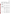| <b>Reference Method</b>                                                                                                                                 | <b>QC</b> Samples               | Frequency                                           | <b>Acceptance Criteria</b> <sup>a</sup> |
|---------------------------------------------------------------------------------------------------------------------------------------------------------|---------------------------------|-----------------------------------------------------|-----------------------------------------|
| <b>HMRC-IV-118-05</b>                                                                                                                                   | Duplicate                       | Once in every 10 samples                            | $\pm 10\%$ RPD                          |
|                                                                                                                                                         | <b>Blank</b>                    | Once in every 10 samples                            | $<$ MDL $\,$                            |
|                                                                                                                                                         | Matrix spike                    | Once in every 10 samples                            | Depends on matrix                       |
| <b>SOP</b> for Analysis of Water<br><b>Sample Extracts For Type 1</b><br><b>Analytes by Liquid</b><br><b>Chromatography/Mass</b><br><b>Spectrometry</b> | Duplicate                       | Once in every 10 samples                            | $\pm 20\%$ RPD                          |
|                                                                                                                                                         | Fortified blank                 | Once in every 10 samples                            | 50-100% recovery                        |
|                                                                                                                                                         | Method blank                    | Once in every 10 samples                            | $<1$ ng/mL                              |
|                                                                                                                                                         | Spike                           | Once in every 10 samples                            | 80-120% recovery                        |
| <b>SOP</b> for Extracting and<br><b>Preparing Water Samples For</b><br><b>Analysis of Dicrotophos,</b><br><b>Mevinphos, And Dichlorovos</b>             | Duplicate                       | Once in every 10 samples                            | $\pm 50\%$ RPD                          |
|                                                                                                                                                         | Method blank                    | Once in every 10 samples                            | $<$ 50 ppb                              |
|                                                                                                                                                         | Spike                           | Once in every 10 samples                            | 70-150% recovery                        |
| <b>EPA 200.8</b>                                                                                                                                        | Initial performance<br>check    | First, before anything else<br>is run               | 95-105% recovery                        |
|                                                                                                                                                         | Continuing<br>performance check | After every 10 samples                              | 90-110% recovery                        |
|                                                                                                                                                         | Quality check<br>standards      | Once in every 10 samples                            | 95-105% recovery                        |
|                                                                                                                                                         | <b>Blank</b>                    | At the start of a run and<br>after every 10 samples | $±$ the PQL                             |
|                                                                                                                                                         | Matrix spike                    | Once in every 10 samples                            | 85-115% recovery                        |
|                                                                                                                                                         | Duplicate                       | Once in every 10 samples                            | $\pm 20\%$ RPD if $> 5x$ the<br>PQL     |
| <b>SM 5310</b>                                                                                                                                          | <b>Blank</b>                    | At the start of a run and<br>after every 10 samples | $<$ RDL                                 |
|                                                                                                                                                         | <b>RDL</b>                      | Once per run                                        | 70-130% recovery                        |
|                                                                                                                                                         | Matrix spike                    | Once in every 10 samples                            | 75-125% recovery                        |
|                                                                                                                                                         | Duplicate                       | Once in every 10 samples                            | $\pm 20\%$ RPD                          |
| <b>SM 2130</b>                                                                                                                                          | Check standards                 | First, before anything else                         | 90-110% recovery                        |

# **Table 7. Quality Control Measures for Reference Methods**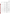|                  | Duplicate       |                                                     | $\pm 10\%$ RPD               |
|------------------|-----------------|-----------------------------------------------------|------------------------------|
| <b>SM 2510</b>   | Check standards | At the start of a run and<br>after every 10 samples | $\pm 10\%$ of the true value |
|                  | <b>Blank</b>    | At the start of a run and<br>after every 10 samples | $<$ 2 UHMO                   |
|                  | Duplicate       | At the start of a run and<br>after every 10 samples | $\pm 20\%$ RPD               |
| <b>EPA 150.1</b> | <b>Buffer</b>   | At the start of a run and<br>after every 10 samples | $\pm 1\%$ of the true value  |
|                  | Duplicate       | Once in every 10 samples                            | $\pm 10\%$ RPD               |
| <b>SM 2320</b>   | Check standards | At the start of a run and<br>after every 10 samples | $\pm 10\%$ of the true value |
|                  | <b>Blank</b>    | At the start of a run and<br>after every 10 samples | $<$ RDL                      |
|                  | Duplicate       | Once in every 10 samples                            | $\pm 10\%$ RPD               |
|                  | Matrix spike    | Once in every 10 samples                            | $\pm 10\%$ of the true value |
| <b>SM 2340</b>   | Check standards | At the start of a run and<br>after every 10 samples | $\pm 10\%$ of the true value |
|                  | <b>Blank</b>    | At the start of a run and<br>after every 10 samples | $<$ RDL                      |
|                  | Duplicate       | Once in every 10 samples                            |                              |
|                  | Matrix spike    | Once in every 10 samples                            | $\pm 10\%$ of the true value |
| EPA 524.2        | Check standards | Every 12 hours                                      | 70-130% recovery             |
|                  | <b>LCS</b>      | Every 24 hours                                      | 70-130% recovery             |
|                  | <b>Blank</b>    | Every 12 hours                                      | 70-130% recovery             |
|                  | Duplicate       | Every 24 hours                                      | 70-130% recovery             |
| EPA 552.2        | <b>Blank</b>    | Once in every 10 samples                            | 70-130% recovery             |
|                  | Matrix spike    | Once in every 10 samples                            | 70-130% recovery             |
|                  | Duplicate       | Once in every 10 samples                            | 70-130% recovery             |
| <b>SM 5320</b>   | <b>Blank</b>    | Once per batch not to<br>exceed 20 samples          | $<$ RDL $\,$                 |
|                  | Matrix spike    | Once per batch not to<br>exceed 20 samples          | 55-139% recovery             |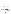|                                                | Duplicate | Once per batch not to<br>exceed 20 samples | $90-131\%$ recovery |
|------------------------------------------------|-----------|--------------------------------------------|---------------------|
| <sup>a</sup> Relative percent difference (RPD) |           |                                            |                     |
| Method detection limit (MDL)                   |           |                                            |                     |

 Method detection limit (MDL) Practical quantitation limit (PQL) Reporting detection limit (RDL)

# **B6 INSTRUMENT/EQUIPMENT TESTING, INSPECTION, AND MAINTENANCE**

The instruments used for the reference analyses (see Tables 4-6) will be tested and inspected as per the standard operating procedures of Battelle or the subcontract laboratory or per the standard methods being used to make each measurement. Instruments to be used in the reference analyses for this test include (but are not limited to) gas chromatography (GC)/mass spectrometry (MS), liquid chromatography/MS, pH electrodes, inductively-coupled plasma/MS, and GC/electron capture detection. Any discovered deficiencies with a particular instrument will be resolved per the protocol of the laboratory in a timely manner. Any maintenance required on components of the enzymatic test kits will be the responsibility of the vendor.

# **B7 INSTRUMENT/EQUIPMENT CALIBRATION AND FREQUENCY**

The instruments used for the reference analyses will be calibrated per the standard reference methods being used to make each measurement or the standard operating procedures of the analysis laboratory. Instruments to be used in the reference analyses for this test include (but are not limited to) gas chromatography (GC)/mass spectrometry (MS), liquid chromatography/MS, pH electrodes, inductively-coupled plasma/MS, and GC/electron capture detection. If any component of an enzymatic test kit requires calibration, the vendor will provide Battelle technical staff with instructions on how to properly maintain such components. All calibrations performed will be documented by Battelle in the project laboratory record book. Calibration of spectrometry instruments will generally involve a 4-8 point calibration curve covering the range of concentrations of the reference solutions to be analyzed. Calibration of each reference instrument will be performed as frequently as required in the reference method guidelines. Calibration procedures for each method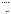are summarized in Table 8.

Calibration of the applicable enzymatic test kit components will be done as often as suggested by the vendor. This calibration will use National Institute of Standards and Technology (NIST) traceable standards if applicable or calibration solutions and/or devices supplied by the vendor. Pipettes used during solution preparation will be maintained and calibrated as required by Battelle standard operating procedures (i.e., minimum of every 6 months). Pipettes will be checked and either recalibrated or replaced if they are dropped accidentally over the course of testing.

| <b>Reference Method</b>                                                                                         | <b>Calibration Procedures</b>                                                                                                              |  |  |
|-----------------------------------------------------------------------------------------------------------------|--------------------------------------------------------------------------------------------------------------------------------------------|--|--|
| <b>HMRC-IV-118-05</b>                                                                                           | 5 point curve performed once with each set of samples.<br>Calibration check also performed.                                                |  |  |
| SOP for Analysis of Water Sample Extracts For Type 1<br>Analytes by Liquid Chromatography/ Mass<br>Spectrometry | At least a 4 point curve performed once with each set<br>of samples. Continuing calibration blanks and<br>verification standards run also. |  |  |
| SOP for Extracting and Preparing Water Samples For<br>Analysis of Dicrotophos, Mevinphos, And Dichlorovos       | 4 point curve performed once with each set of samples                                                                                      |  |  |
| EPA 200.8                                                                                                       | 3 point curve performed once with each set of samples.<br>Performance check standards also run.                                            |  |  |
| SM 5310                                                                                                         | 6 pint curve performed once with each set of samples<br>or once every 24 hours                                                             |  |  |
| SM 2103                                                                                                         | 5 point curve performed quarterly each year.<br>Continuing calibration checks and check standards<br>also performed.                       |  |  |
| SM 2510                                                                                                         | N/A. Performance check standards run.                                                                                                      |  |  |
| EPA 150.1                                                                                                       | Calibration performed once before each set of samples                                                                                      |  |  |
| SM 2320                                                                                                         | Calibration performed once before each set of samples.<br>Performance check standards also run.                                            |  |  |
| SM 2340                                                                                                         | Calibration performed once before each set of samples.<br>Performance check standards also run.                                            |  |  |
| EPA 524.2                                                                                                       | 7 point curve performed once before each set of<br>samples. Performance check standards also run.                                          |  |  |
| EPA 552.2                                                                                                       | 5-6 point curve performed once before each ste of<br>samples.                                                                              |  |  |

**Table 8. Calibration Procedures for Reference Methods**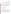Enzymatic Test Kits Test/QA Plan Page 34 of 44 Version 1 September 21, 2005

| SM 5320 | 5 point curve performed once before each set of |  |
|---------|-------------------------------------------------|--|
|         | samples. Recalibrated if the performance check  |  |
|         | standards fail.                                 |  |

#### **B8 INSPECTION/ACCEPTANCE OF SUPPLIES AND CONSUMABLES**

All materials, supplies, and consumables will be ordered by the Verification Test Coordinator or designee. Where possible, Battelle will rely on sources of materials and consumables that have been used previously as part of ETV verification testing without problems. Battelle will also rely on previous experience or recommendations from EPA advisors, host facility staff, or enzymatic test kit vendors. NIST-traceable materials will be used whenever possible. All items will be compared with their Certificates of Analysis, or similar documentation. Items that don't match will be sent back to their supplier.

#### **B9 NON-DIRECT MEASUREMENTS**

Data published previously in the scientific literature relating to enzymatic test kits' performance will not be used during this verification test.

#### **B10 DATA MANAGEMENT**

Various types of data will be acquired and recorded electronically or manually by Battelle technical staff during this verification test. Table 9 summarizes the type of data to be recorded. All data and observations for the operation of the test kits will be documented by Battelle technical staff on data sheets or in laboratory record books. If a subcontract laboratory is used, results from the subcontract laboratory reference instruments will be compiled by the subcontractor's staff in electronic format and submitted to Battelle upon obtaining the results. Results from any Battelle-performed reference methods will be similarly compiled and submitted.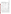Enzymatic Test Kits Test/QA Plan Page 35 of 44 Version 1 September 21, 2005

| Data to Be<br><b>Recorded</b>                                   | <b>Where Recorded</b>                                               | <b>How Often</b><br><b>Recorded</b>                                          | <b>By Whom</b>                                  | <b>Disposition of Data</b>                                                                                      |
|-----------------------------------------------------------------|---------------------------------------------------------------------|------------------------------------------------------------------------------|-------------------------------------------------|-----------------------------------------------------------------------------------------------------------------|
| Dates, times,<br>and details of<br>test events                  | <b>ETV</b> laboratory<br>record books or<br>data recording<br>forms | Start/end of test<br>procedure, and at<br>each change of a<br>test parameter | <b>Battelle</b>                                 | Used to organize<br>and check test<br>results; manually<br>incorporated in data<br>spreadsheets as<br>necessary |
| Sample<br>preparation<br>(dates,<br>concentrations,<br>$etc.$ ) | <b>ETV</b> laboratory<br>record books                               | When each<br>solution is<br>prepared                                         | <b>Battelle</b>                                 | Used to confirm the<br>concentration and<br>integrity of the<br>samples analyzed                                |
| Enzymatic test<br>kit procedures<br>and sample<br>results       | ETV data sheets<br>and laboratory<br>record book                    | Throughout test<br>duration                                                  | <b>Battelle</b>                                 | Manually<br>incorporated into<br>data spreadsheets<br>for statistical<br>analysis and<br>comparisons            |
| Reference<br>method sample<br>preparation                       | ETV laboratory<br>record book                                       | Throughout<br>sample<br>preparation                                          | <b>Battelle</b>                                 | Used to demonstrate<br>validity of samples<br>submitted for<br>reference<br>measurements                        |
| Reference<br>method<br>procedures,<br>calibrations,<br>QA, etc. | Laboratory record<br>books or data<br>recording forms               | Throughout<br>sampling and<br>analysis processes                             | <b>Battelle</b> or<br>subcontract<br>laboratory | Retained as<br>documentation of<br>reference method<br>performance                                              |
| Reference<br>method analysis<br>results                         | Electronically from<br>reference analytical<br>method               | Every sample<br>analysis                                                     | <b>Battelle</b> or<br>subcontract<br>laboratory | Converted to<br>spreadsheets for<br>calculations                                                                |

# **Table 9. Summary of Data Recording Process**

Records received by or generated by any of the Battelle technical staff during the verification test will be reviewed by a Battelle staff member within two weeks of receipt or generation, respectively, before the records are used to calculate, evaluate, or report verification results. If a Battelle staff member generated the record, this review will be performed by a Battelle technical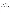staff member involved in the verification test, but not the staff member who originally generated the record. The review will be documented by the person performing the review by adding his/her initials and date to the hard copy of the record being reviewed. In addition, data calculations performed by Battelle technical staff will be spot-checked by Battelle technical staff to ensure that calculations are performed correctly. Calculations to be checked include any statistical calculations described in this test/QA plan. The data obtained from this verification test will be compiled and reported independently for each enzymatic test kit. Results for the enzymatic test kits from different vendors will not be compared with each other.

Among the QA activities conducted by Battelle QA staff will be an audit of data quality. This audit will consist of a review by the Battelle Quality Manager of at least 10% of the test data. During the course of any such audit, the Battelle Quality Manager will inform the technical staff of any findings and any immediate corrective action that should be taken. If serious data quality problems exist, the Battelle Quality Manager will request that Battelle's AMS Center Manager issue a stop work order. Once the assessment report has been prepared, the Verification Test Coordinator will ensure that a response is provided for each adverse finding or potential problem, and will implement any necessary follow-up corrective action. The Battelle Quality Manager will ensure that follow-up corrective action has been taken.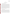Enzymatic Test Kits Test/QA Plan Page 37 of 44 Version 1 September 21, 2005

# **SECTION C**

#### **ASSESSMENT AND OVERSIGHT**

#### **C1 ASSESSMENTS AND RESPONSE ACTIONS**

Every effort will be made in this verification test to anticipate and resolve potential problems before the quality of performance is compromised. One of the major objectives of this test/QA plan is to establish mechanisms necessary to ensure this. Internal QC measures described in this test/QA plan, which is peer reviewed by a panel of outside experts, implemented by the technical staff and monitored by the Verification Test Coordinator, will give information on data quality on a day-to-day basis. The responsibility for interpreting the results of these checks and resolving any potential problems resides with the Verification Test Coordinator. Technical staff have the responsibility to identify problems that could affect data quality or the ability to use the data. Any problems that are identified will be reported to the Verification Test Coordinator, who will work with the Battelle Quality Manager to resolve any issues. Action will be taken to control the problem, identify a solution to the problem, and minimize losses and correct data, where possible. Independent of any EPA QA activities, Battelle will be responsible for ensuring that the following audits are conducted as part of this verification test.

#### **C1.1 Performance Evaluation Audits**

When possible, the concentration of the standards used to prepare the samples fortified with contaminants and potential interfering compounds will be confirmed by analyzing standards prepared in ASTM Type II DI water from two separate commercial vendors using the reference methods noted in Tables 4 and 5. The standards from one vendor will be used during the verification test, while the standards from the second vendor will be used exclusively to confirm the accuracy of the displayed concentration of the first vendor. Agreement of the standards within 25% (percent difference) is required for the measurements to be considered as acceptable. Failure to achieve this agreement will trigger a repeat of the performance evaluation (PE) comparison.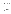Failure in the second comparison requires obtaining another set of standards, and repeating the PE audit.

Given the security requirements and lack of alternate sources for some of the chemical agents used in this verification test, PE audits will not be performed for these contaminants. PE audits will be done for all remaining compounds when more than one source of the contaminant or potential interfering compounds are available. PE audits will only be performed on compounds used to prepare test samples and will not be performed on any solutions supplied as part of an enzymatic test kit.

#### **C1.2 Technical Systems Audits**

The Battelle Quality Manager will perform a technical systems audit (TSA) at least once during this verification test. The purpose of this audit is to ensure that the verification test is being performed in accordance with the AMS Center QMP<sup>1</sup>, this test/QA plan, published reference methods, and any SOPs used by Battelle. In the TSA, the Battelle Quality Manager, or designee, may review the reference methods used, compare actual test procedures to those specified or referenced in this plan, and review data acquisition and handling procedures. In the TSA, the Battelle Quality Manager will observe testing in progress, observe the reference method sample preparation and analysis (when available), inspect documentation, and review technology-specific record books. He will also check standard certifications and may confer with other Battelle staff. A TSA report will be prepared, including a statement of findings and the actions taken to address any adverse findings. The EPA AMS Center Quality Manager will receive a copy of Battelle's TSA report. At EPA's discretion, EPA QA staff may also conduct an independent on-site TSA during the verification test. The TSA findings will be communicated to technical staff at the time of the audit and documented in a TSA report.

#### **C1.3 Data Quality Audits**

The Battelle Quality Manager will audit at least 10% of the verification data acquired in the verification test. The Battelle Quality Manager will trace the data from initial acquisition, through reduction and statistical comparisons, to final reporting. All calculations performed on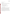the data undergoing the audit will be checked.

#### **C1.4 QA/QC Reporting**

Each assessment and audit will be documented in accordance with Section 3.3.4 of the AMS Center QMP<sup>1</sup>. The results of the TSA will be submitted to EPA. Assessment reports will include the following:

- C Identification of any adverse findings or potential problems
- C Response to adverse findings or potential problems
- C Recommendations for resolving problems
- C Confirmation that solutions have been implemented and are effective
- C Citation of any noteworthy practices that may be of use to others.

#### **C2 REPORTS TO MANAGEMENT**

The Battelle Quality Manager, during the course of any assessment or audit, will identify to the technical staff performing experimental activities any immediate corrective action that should be taken. If serious quality problems exist, the Battelle Quality Manager will notify the AMS Center Manager to authorize a stop work order. Once the assessment report has been prepared, the Verification Test Coordinator will ensure that a response is provided for each adverse finding or potential problem and will implement any necessary follow-up corrective action. The Battelle Quality Manager will ensure that follow-up corrective action has been taken. The test/QA plan and final report are reviewed by EPA AMS Center QA staff and the EPA AMS Center program management staff. Upon final review and approval, both documents will then be posted on the ETV website (www.epa.gov/etv).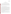#### **SECTION D**

#### **DATA VALIDATION AND USABILITY**

#### **D1 DATA REVIEW, VALIDATION, AND VERIFICATION REQUIREMENTS**

The key data review, validation, and verification requirements for the verification test are the collection of QC samples as outlined in the test/QA plan, a comparison of field data sheet comments against final data to flag any suspect data, and a review of final data (as described in Section B10). The QA audits, as described in Section C, are designed to assure the quality of this data.

# **D2 VALIDATION AND VERIFICATION METHODS**

Data verification is conducted as part of the data review as described in Section B10 and C1.2 of this test/QA plan. This verification will include a visual inspection of handwritten data to ensure that all entries were properly recorded or transcribed, and that any erroneous entries were properly noted (i.e, single line through the entry, with an error code and the initials of the recorder and data of entry). Data manually incorporated into spreadsheets for use in calculations will be checked against the handwritten data to ensure no transcription errors occurred. Calculations will be spot-checked to ensure the accuracy and the appropriateness of the calculations. Calculations performed manually will be reviewed and repeated using a handheld calculator or commercial software (i.e., Excel). Calculations performed using standard commercial software (i.e., Excel) will be reviewed by inspection of the equations used for the calculations and verification of selected calculations by handheld calculator.

A number of data validation procedures will also be performed. Section C of this test/QA plan provides a description of the validation safeguards employed for this verification test. Data validation efforts include the completion of QC activities, and the performance of TSA and PE audits as described in Section C.

An audit of data quality will be conducted by the Battelle Quality Manager to ensure that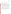data review, verification, and validation procedures were completed, and to assure the overall quality of the data.

# **D3 RECONCILIATION WITH USER REQUIREMENTS**

This purpose of this verification test is to evaluate the performance of enzymatic test kits. To meet the requirements of the user community, the data obtained in this verification test should include thorough documentation of the performance of each enzymatic test kit during the verification test. The data review, verification, and validation procedures described in previous sections will assure that data meet these requirements, are accurately presented in the verification reports generated from this test, and that data not meeting these requirements are appropriately flagged and discussed in the verification reports. The QC acceptance criteria described in Section B4 will be used to ensure that the reference methods provide accurate measurements of the reference or stock solutions and that the levels of contaminants tested are accurately presented in the verification reports.

The data from this verification test will be compiled into an ETV verification report. The report will be submitted to EPA in Word Perfect and Adobe pdf format and subsequently posted on the ETV website. This test/QA plan and the resulting ETV verification report(s) will be subjected to review by the enzymatic test kit vendors, Battelle staff, EPA, and expert peer reviewers. The reviews of this test/QA plan will assure that this verification test and the resulting reports meet the needs of potential users of the enzymatic test kits.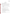# **SECTION E**

# **HEALTH AND SAFETY**

# **E1 STANDARD/TEST SAMPLE PREPARATION**

All handling of solid and highly concentrated aqueous solutions of contaminants and possible interferences will be done inside of a laboratory hood with hood sash set to the lowest height that still allows for safe manipulation of materials. The following guidelines should be adhered to:

- Personal protective equipment shall include safety glasses with side shields, a laboratory coat, and nitrile lab gloves. Gloves shall be immediately changed if they become contaminated.
- All contaminated waste shall be handled as hazardous waste and disposed of according to facility regulations.

# **E2 SAMPLE HANDLING DURING VERIFICATION TESTING**

Laboratory handling of any solutions used during the verification test will be accomplished by taking the following precautions:

- All containers shall be stored and transported in double containment.
- Safety goggles or glasses, nitrile gloves with long cuffs, and a chemical resistant disposable lab coat, or other safety equipment specifically called for in facility guidelines, shall be worn when handling all chemicals. Gloves shall be immediately changed if they become contaminated.

# **E3 TESTING OF VX, GB, AND GD**

Use of these contaminants in the verification of enzymatic test kits will be done following the safety procedures required at the HMRC facility.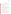Enzymatic Test Kits Test/QA Plan Page 43 of 44 Version 1 September 21, 2005

# **SECTION F**

# **REFERENCES**

- 1. Quality Management Plan for the ETV Advanced Monitoring Systems Center, Version 5.0, U.S. EPA Environmental Technology Verification Program, Battelle, Columbus, Ohio, March 2004.
- 2. "Environmental Technology Verification Program Quality Management Plan", December 2002, EPA/600/R-03/021.
- 3. Army Regulation 50-6, *Chemical Surety*, June 2001.
- 4. Battelle, *Chemical Safety Information Program*, SIH-PP-005, September, 2004.
- 5. Battelle SOP HMRC-III-007, *Standard Operating Procedure 3X and 4X Proof of Decon*.
- 6. U.S. Army Center for Health Promotion and Preventative Medicine, USACHPPM Technical Guide 230, *Chemical Exposure Guidelines for Deployed Military Personnel*, January 2002.
- 7. Gosselin et al., *Clinical Toxicology of Commercial Products*. 5<sup>th</sup> edition, Baltimore, MD, 1984.
- 8. World Health Organization, *The WHO Recommended Classification of Pesticides by Hazard and Guidelines to Classifiction: 2004*, 2005.
- 9. Battelle SOP MDAS.I-009-Draft, *Sample Chain of Custody*, June 2004.
- 10. Battelle SOP HMRC-IV-118, *Standard Operating Procedure for the Determination of CA in Wastewater*.
- 11. Battelle, *Standard Operating Procedure for Analysis of Water Extracts for Type I Analytes by Liquid Chromatography/Mass Spectrometry,* Version 1*,* January 2004.
- 12. Battelle, *Standard Operating Procedure for Extracting and Preparing Water Samples for Analysis of Dicrotophos, Mevinphos, and Dichlorovos,* Version 3*,* March 2005.